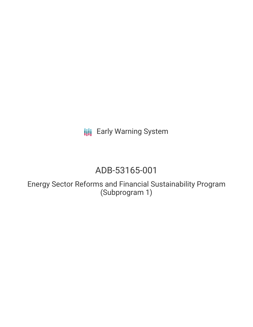**III** Early Warning System

# ADB-53165-001

Energy Sector Reforms and Financial Sustainability Program (Subprogram 1)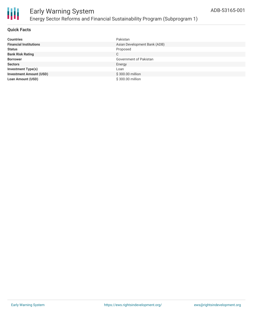

#### **Quick Facts**

| <b>Countries</b>               | Pakistan                     |
|--------------------------------|------------------------------|
| <b>Financial Institutions</b>  | Asian Development Bank (ADB) |
| <b>Status</b>                  | Proposed                     |
| <b>Bank Risk Rating</b>        | C                            |
| <b>Borrower</b>                | Government of Pakistan       |
| <b>Sectors</b>                 | Energy                       |
| <b>Investment Type(s)</b>      | Loan                         |
| <b>Investment Amount (USD)</b> | \$300.00 million             |
| <b>Loan Amount (USD)</b>       | \$300.00 million             |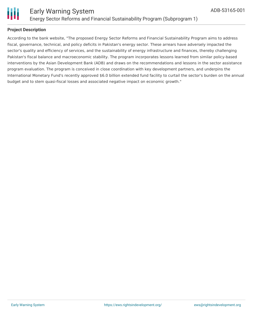

#### **Project Description**

According to the bank website, "The proposed Energy Sector Reforms and Financial Sustainability Program aims to address fiscal, governance, technical, and policy deficits in Pakistan's energy sector. These arrears have adversely impacted the sector's quality and efficiency of services, and the sustainability of energy infrastructure and finances, thereby challenging Pakistan's fiscal balance and macroeconomic stability. The program incorporates lessons learned from similar policy-based interventions by the Asian Development Bank (ADB) and draws on the recommendations and lessons in the sector assistance program evaluation. The program is conceived in close coordination with key development partners, and underpins the International Monetary Fund's recently approved \$6.0 billion extended fund facility to curtail the sector's burden on the annual budget and to stem quasi-fiscal losses and associated negative impact on economic growth."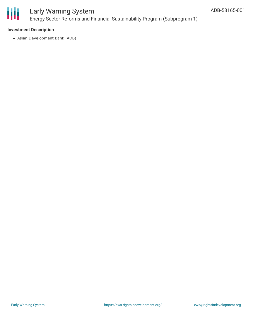

## Early Warning System Energy Sector Reforms and Financial Sustainability Program (Subprogram 1)

#### **Investment Description**

Asian Development Bank (ADB)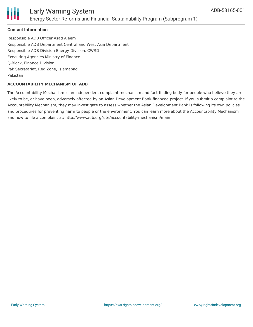

#### **Contact Information**

Responsible ADB Officer Asad Aleem Responsible ADB Department Central and West Asia Department Responsible ADB Division Energy Division, CWRD Executing Agencies Ministry of Finance Q-Block, Finance Division, Pak Secretariat, Red Zone, Islamabad, Pakistan

#### **ACCOUNTABILITY MECHANISM OF ADB**

The Accountability Mechanism is an independent complaint mechanism and fact-finding body for people who believe they are likely to be, or have been, adversely affected by an Asian Development Bank-financed project. If you submit a complaint to the Accountability Mechanism, they may investigate to assess whether the Asian Development Bank is following its own policies and procedures for preventing harm to people or the environment. You can learn more about the Accountability Mechanism and how to file a complaint at: http://www.adb.org/site/accountability-mechanism/main